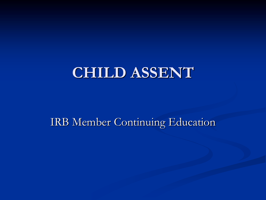## **CHILD ASSENT**

#### IRB Member Continuing Education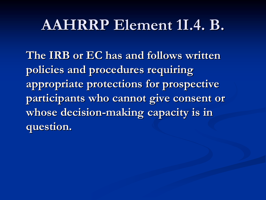# **AAHRRP Element 1I.4. B.**

**The IRB or EC has and follows written policies and procedures requiring appropriate protections for prospective participants who cannot give consent or whose decision-making capacity is in question.**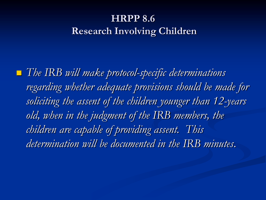#### **HRPP 8.6 Research Involving Children**

 *The IRB will make protocol-specific determinations regarding whether adequate provisions should be made for soliciting the assent of the children younger than 12-years old, when in the judgment of the IRB members, the children are capable of providing assent. This determination will be documented in the IRB minutes*.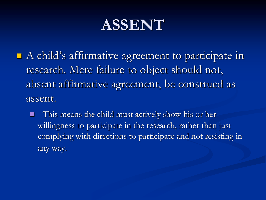# **ASSENT**

- A child's affirmative agreement to participate in research. Mere failure to object should not, absent affirmative agreement, be construed as assent.
	- **This means the child must actively show his or her** willingness to participate in the research, rather than just complying with directions to participate and not resisting in any way.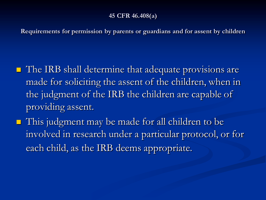#### **45 CFR 46.408(a)**

**Requirements for permission by parents or guardians and for assent by children**

- **The IRB** shall determine that adequate provisions are made for soliciting the assent of the children, when in the judgment of the IRB the children are capable of providing assent.
- This judgment may be made for all children to be involved in research under a particular protocol, or for each child, as the IRB deems appropriate.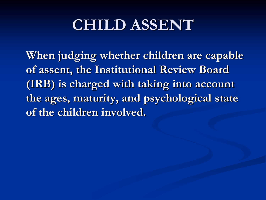# **CHILD ASSENT**

**When judging whether children are capable of assent, the Institutional Review Board (IRB) is charged with taking into account the ages, maturity, and psychological state of the children involved.**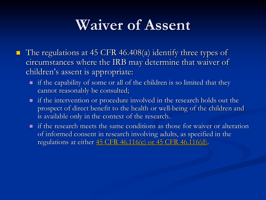# **Waiver of Assent**

- The regulations at 45 CFR 46.408(a) identify three types of circumstances where the IRB may determine that waiver of children's assent is appropriate:
	- $\blacksquare$  if the capability of some or all of the children is so limited that they cannot reasonably be consulted;
	- **if the intervention or procedure involved in the research holds out the** prospect of direct benefit to the health or well-being of the children and is available only in the context of the research.
	- **If the research meets the same conditions as those for waiver or alteration** of informed consent in research involving adults, as specified in the regulations at either [45 CFR 46.116\(c\) or 45 CFR 46.116\(d\)](http://www.hhs.gov/ohrp/humansubjects/guidance/45cfr46.html#46.116).